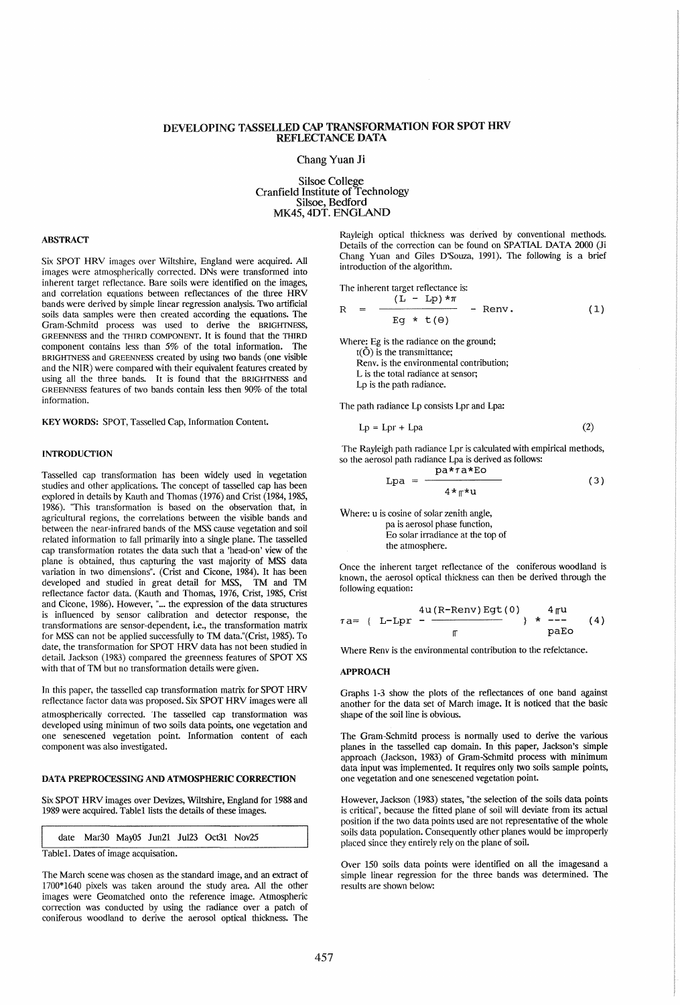# DEVELOPING TASSELLED CAP TRANSFORMATION FOR SPOT HRV REFLECTANCE DATA

### Chang Yuan Ji

Silsoe College Cranfield Institute of Technology Silsoe, Bedford MK45, 4DT. ENGLAND

## ABSTRACT

Six SPOT HRV images over Wiltshire, England were acquired. All images were atmospherically corrected. DNs were transformed into inherent target reflectance. Bare soils were identified on the images, and correlation equations between reflectances of the three HRV bands were derived by simple linear regression analysis. Two artificial soils data samples were then created according the equations. The Gram-Schmitd process was used to derive the BRIGHTNESS, GREENNESS and the THIRD COMPONENT. It is found that the THIRD component contains less than 5% of the total information. The BRIGHTNESS and GREENNESS created by using two bands (one visible and the NIR) were compared with their equivalent features created by using all the three bands. It is found that the BRIGHTNESS and GREENNESS features of two bands contain less then 90% of the total information.

KEY WORDS: SPOT, Tasselled Cap, Information Content.

### INTRODUCTION

Tasselled cap transformation has been widely used in vegetation studies and other applications. The concept of tasselled cap has been explored in details by Kauth and Thomas (1976) and Crist (1984, 1985, 1986). "This transformation is based on the observation that, in agricultural regions, the correlations between the visible bands and between the near-infrared bands of the MSS cause vegetation and soil related information to fall primarily into a single plane. The tasselled cap transformation rotates the data such that a 'head-on' view of the plane is obtained, thus capturing the vast majority of MSS data variation in two dimensions". (Crist and Cicone, 1984). It has been developed and studied in great detail for MSS, TM and TM reflectance factor data. (Kauth and Thomas, 1976, Crist, 1985, Crist and Cicone, 1986). However, "... the expression of the data structures is influenced by sensor calibration and detector response, the transformations are sensor-dependent, i.e., the transformation matrix for MSS can not be applied successfully to TM data."(Crist, 1985). To date, the transformation for SPOT HRV data has not been studied in detail. Jackson (1983) compared the greenness features of SPOT XS with that of TM but no transformation details were given.

In this paper, the tasselled cap transformation matrix for SPOT HRV reflectance factor data was proposed. Six SPOT HRV images were all atmospherically corrected. The tasselled cap transformation was developed using minimun of two soils data points, one vegetation and one senescened vegetation point. Information content of each component was also investigated.

### DATA PREPROCESSING AND ATMOSPHERIC CORRECTION

Six SPOT HRV images over Devizes, Wiltshire, England for 1988 and 1989 were acquired. Table1 lists the details of these images.

date Mar30 May05 Jun21 Jul23 Oct31 Nov25

Table1. Dates of image acquisation.

The March scene was chosen as the standard image, and an extract of 1700\*1640 pixels was taken around the study area. All the other images were Geomatched onto the reference image. Atmospheric correction was conducted by using the radiance over a patch of coniferous woodland to derive the aerosol optical thickness. The Rayleigh optical thickness was derived by conventional methods. Details of the correction can be found on SPATIAL DATA 2000 (Ji Chang Yuan and Giles D'Souza, 1991). The following is a brief introduction of the algorithm.

The inherent target reflectance is:

$$
R = \frac{(L - Lp)*\pi}{Eg * t(\theta)} - Renv.
$$
 (1)

Where: Eg is the radiance on the ground;  $t(\tilde{O})$  is the transmittance; Renv. is the environmental contribution; L is the total radiance at sensor; Lp is the path radiance.

The path radiance Lp consists Lpr and Lpa:

$$
Lp = Lpr + Lpa
$$
 (2)

The Rayleigh path radiance Lpr is calculated with empirical methods, so the aerosol path radiance Lpa is derived as follows:  $\mathbf{p} = \mathbf{r} \cdot \mathbf{r}$ 

$$
Lpa = \frac{p^{\alpha} + \alpha L\epsilon}{4 *_{\pi} * u} \tag{3}
$$

Where: u is cosine of solar zenith angle, pa is aerosol phase function, Eo solar irradiance at the top of the atmosphere.

Once the inherent target reflectance of the coniferous woodland is known, the aerosol optical thickness can then be derived through the following equation:

$$
\tau a = \{ L-Lpr - \frac{4u(R-Renv)Egt(0)}{r} \} \times \begin{array}{c} 4\pi u \\ - - \\ \text{pEo} \end{array} \tag{4}
$$

Where Renv is the environmental contribution to the refelctance.

#### APPROACH

Graphs 1-3 show the plots of the reflectances of one band against another for the data set of March image. It is noticed that the basic shape of the soil line is obvious.

The Gram-Schmitd process is normally used to derive the various planes in the tasselled cap domain. In this paper, Jackson's simple approach (Jackson, 1983) of Gram-Schmitd process with minimum data input was implemented. It requires only two soils sample points, one vegetation and one senescened vegetation point.

However, Jackson (1983) states, "the selection of the soils data points is critical", because the fitted plane of soil will deviate from its actual position if the two data points used are not representative of the whole soils data population. Consequently other planes would be improperly placed since they entirely rely on the plane of soil.

Over 150 soils data points were identified on all the imagesand a simple linear regression for the three bands was determined. The results are shown below: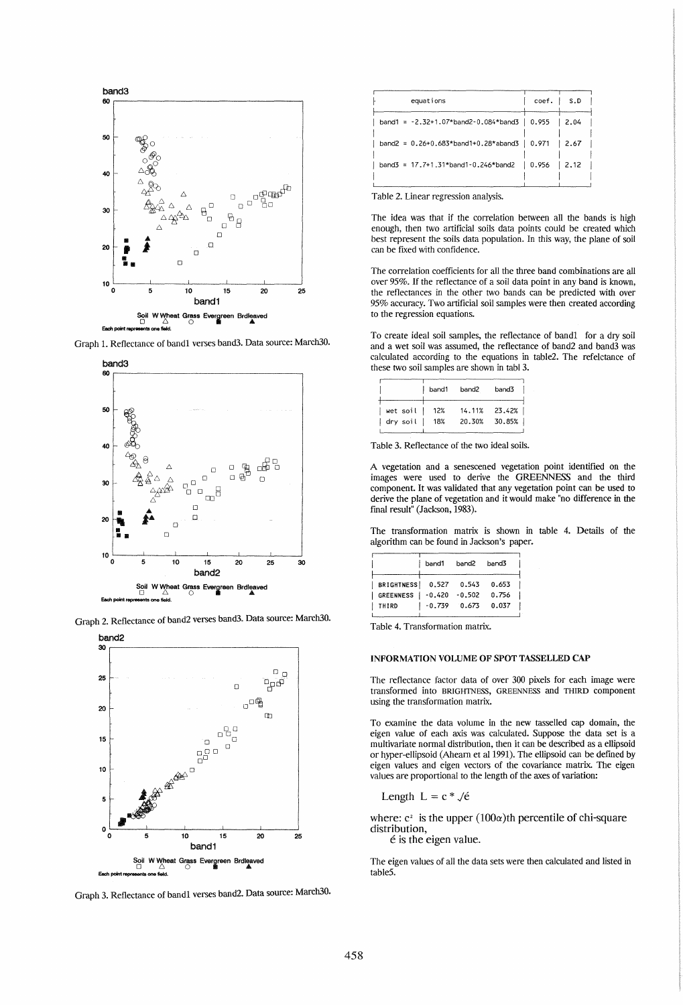

Graph 1. Reflectance of band1 verses band3. Data source: March30.



Graph 2. Reflectance of band2 verses band3. Data source: March30.



Graph 3. Reflectance of band1 verses band2. Data source: March30.

| equations                                                  | $coef.$ $\mid$ S.D |       |
|------------------------------------------------------------|--------------------|-------|
| band1 = $-2.32+1.07*$ band2 $-0.084*$ band3   0.955   2.04 |                    |       |
| band2 = $0.26+0.683*$ band1+0.28*aband3 0.971              |                    | 12.67 |
| band3 = $17.7+1.31*$ band1-0.246*band2   0.956   2.12      |                    |       |
|                                                            |                    |       |

Table 2. Linear regression analysis.

The idea was that if the correlation between all the bands is high enough, then two artificial soils data points could be created which best represent the soils data population. In this way, the plane of soil can be fixed with confidence.

The correlation coefficients for all the three band combinations are all over 95%. If the reflectance of a soil data point in any band is known, the reflectances in the other two bands can be predicted with over 95% accuracy. Two artificial soil samples were then created according to the regression equations.

To create ideal soil samples, the reflectance of band1 for a *dry* soil and a wet soil was assumed, the reflectance of band2 and band3 was calculated according to the equations in table2. The refelctance of these two soil samples are shown in tabl 3.

|          | band1 | band2  | band3         |
|----------|-------|--------|---------------|
| wet soil | -12%  |        | 14.11% 23.42% |
| dry soil | 18%   | 20.30% | 30.85%        |

Table 3. Reflectance of the two ideal soils.

A vegetation and a senescened vegetation point identified on the images were used to derive the GREENNESS and the third component. It was validated that any vegetation point can be used to derive the plane of vegetation and it would make "no difference in the final result" (Jackson, 1983).

The transformation matrix is shown in table 4. Details of the algorithm can be found in Jackson's paper.

|                           | band1             | band2 band3 |       |
|---------------------------|-------------------|-------------|-------|
| BRIGHTNESS 0.527 0.543    |                   |             | 0.653 |
| GREENNESS   -0.420 -0.502 |                   |             | 0.756 |
| THIRD                     | $ -0.739$ $0.673$ |             | 0.037 |
|                           |                   |             |       |

Table 4. Transformation matrix.

### INFORMATION VOLUME OF SPOT TASSELLED CAP

The reflectance factor data of over 300 pixels for each image were transfonned into BRIGHTNESS, GREENNESS and THIRD component using the transformation matrix.

To examine the data volume in the new tasselled cap domain, the eigen value of each axis was calculated. Suppose the data set is a multivariate normal distribution, then it can be described as a ellipsoid or hyper-ellipsoid (Ahearn et al 1991). The ellipsoid can be defined by eigen values and eigen vectors of the covariance matrix. The eigen values are proportional to the length of the axes of variation:

Length 
$$
L = c * \sqrt{e}
$$

where:  $c^2$  is the upper  $(100\alpha)$ th percentile of chi-square distribution,

 $\acute{\text{e}}$  is the eigen value.

The eigen values of all the data sets were then calculated and listed in tableS.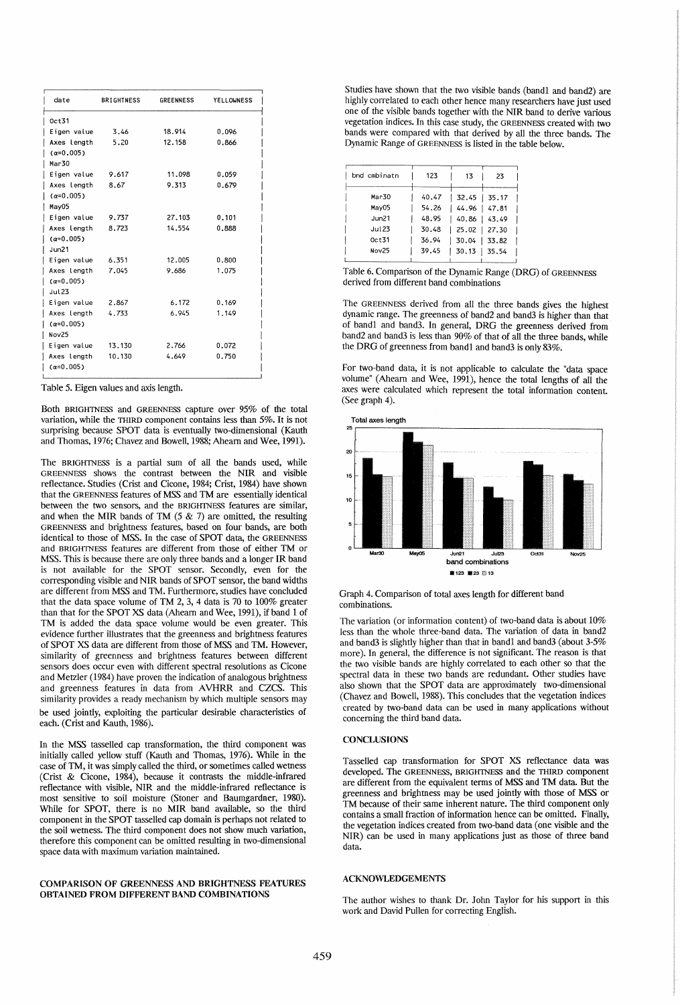| date               | <b>BRIGHTNESS</b> | <b>GREENNESS</b> | <b>YELLOWNESS</b> |
|--------------------|-------------------|------------------|-------------------|
| 0ct31              |                   |                  |                   |
| Eigen value        | 3.46              | 18.914           | 0.096             |
| Axes length        | 5.20              | 12.158           | 0.866             |
| $(\alpha = 0.005)$ |                   |                  |                   |
| Mar30              |                   |                  |                   |
| Eigen value        | 9.617             | 11.098           | 0.059             |
| Axes length        | 8.67              | 9.313            | 0.679             |
| $(\alpha = 0.005)$ |                   |                  |                   |
| May05              |                   |                  |                   |
| Eigen value        | 9.737             | 27.103           | 0.101             |
| Axes length        | 8.723             | 14.554           | 0.888             |
| $(\alpha = 0.005)$ |                   |                  |                   |
| Jun21              |                   |                  |                   |
| Eigen value        | 6.351             | 12.005           | 0.800             |
| Axes length        | 7.045             | 9.686            | 1.075             |
| $(\alpha = 0.005)$ |                   |                  |                   |
| Jul 23             |                   |                  |                   |
| Eigen value        | 2.867             | 6.172            | 0.169             |
| Axes length        | 4.733             | 6.945            | 1.149             |
| $(\alpha = 0.005)$ |                   |                  |                   |
| Nov25              |                   |                  |                   |
| Eigen value        | 13.130            | 2.766            | 0.072             |
| Axes length        | 10.130            | 4.649            | 0.750             |
| $(\alpha = 0.005)$ |                   |                  |                   |

Table 5. Eigen values and axis length.

Both BRIGHTNESS and GREENNESS capture over 95% of the total variation, while the THIRD component contains less than 5%. It is not surprising because SPOT data is eventually two-dimensional (Kauth and Thomas, 1976; Chavez and Bowell, 1988; Ahearn and Wee, 1991).

The BRIGHTNESS is a partial sum of all the bands used, while GREENNESS shows the contrast between the NIR and visible reflectance. Studies (Crist and Cicone, 1984; Crist, 1984) have shown that the GREENNESS features of MSS and TM are essentially identical between the two sensors, and the BRIGHTNESS features are similar, and when the MIR bands of TM  $(5 \& 7)$  are omitted, the resulting GREENNESS and brightness features, based on four bands, are both identical to those of MSS. In the case of SPOT data, the GREENNESS and BRIGHTNESS features are different from those of either TM or MSS. This is because there are only three bands and a longer IR band is not available for the SPOT sensor. Secondly, even for the corresponding visible and NIR bands of SPOT sensor, the band widths are different from MSS and TM. Furthermore, studies have concluded that the data space volume of TM 2, 3, 4 data is 70 to 100% greater than that for the SPOT XS data (Ahearn and Wee, 1991), if band 1 of TM is added the data space volume would be even greater. This evidence further illustrates that the greenness and brightness features of SPOT XS data are different from those of MSS and TM. However, similarity of greenness and brightness features between different sensors does occur even with different spectral resolutions as Cicone and Metzler (1984) have proven the indication of analogous brightness and greenness features in data from AVHRR and CZCS. This similarity provides a ready mechanism by which multiple sensors may be used jointly, exploiting the particular desirable characteristics of each. (Crist and Kauth, 1986).

In the MSS tasselled cap transformation, the third component was initially called yellow stuff (Kauth and Thomas, 1976). While in the case of TM, it was simply called the third, or sometimes called wetness (Crist & Cicone, 1984), because it contrasts the middle-infrared reflectance with visible, NIR and the middle-infrared reflectance is most sensitive to soil moisture (Stoner and Baumgardner, 1980). While for SPOT, there is no MIR band available, so the third component in the SPOT tasselled cap domain is perhaps not related to the soil wetness. The third component does not show much variation, therefore this component can be omitted resulting in two-dimensional space data with maximum variation maintained.

### COMPARISON OF GREENNESS AND BRIGHTNESS FEATURES OBTAINED FROM DIFFERENT BAND COMBINATIONS

Studies have shown that the two visible bands (bandl and band2) are highly correlated to each other hence many researchers have just used one of the VISible bands together with the NIR band to derive various vegetation indices. In this case study, the GREENNESS created with two bands were compared with that derived by all the three bands. The Dynamic Range of GREENNESS is listed in the table below.

| bnd cmbinatn  | 123   | 13              | 23 |  |
|---------------|-------|-----------------|----|--|
| Mar30         | 40.47 | $32.45$   35.17 |    |  |
| May05         | 54.26 | 44.96 47.81     |    |  |
| Jun21         | 48.95 | 40.86   43.49   |    |  |
| <b>Jul 23</b> | 30.48 | 25.02 27.30     |    |  |
| $0c$ t31      | 36.94 | $30.04$   33.82 |    |  |
| Nov25         | 39.45 | 30.13   35.54   |    |  |
|               |       |                 |    |  |

Table 6. Comparison of the Dynamic Range (DRG) of GREENNESS derived from different band combinations

The GREENNESS derived from all the three bands gives the highest dynamic range. The greenness of band2 and band3 is higher than that of bandl and band3. In general, DRG the greenness derived from band2 and band3 is less than 90% of that of all the three bands, while the DRG of greenness from band1 and band3 is only 83%.

For two-band data, it is not applicable to calculate the "data space volume" (Ahearn and Wee, 1991), hence the total lengths of all the axes were calculated which represent the total information content. (See graph 4).



## Graph 4. Comparison of total axes length for different band combinations.

The variation (or information content) of two-band data is about 10% less than the whole three-band data. The variation of data in band2 and band3 is slightly higher than that in band1 and band3 (about 3-5% more). In general, the difference is not significant. The reason is that the two visible bands are highly correlated to each other so that the spectral data in these two bands are redundant. Other studies have also shown that the SPOT data are approximately two-dimensional (Chavez and Bowell, 1988). This concludes that the vegetation indices created by two-band data can be used in many applications without concerning the third band data.

#### **CONCLUSIONS**

Tasselled cap transformation for SPOT XS reflectance data was developed. The GREENNESS, BRIGHTNESS and the THIRD component are different from the equivalent terms of MSS and TM data. But the greenness and brightness may be used jointly with those of MSS or TM because of their same inherent nature. The third component only contains a small fraction of information hence can be omitted. Finally, the vegetation indices created from two-band data (one visible and the NIR) can be used in many applications just as those of three band data.

#### ACKNOWLEDGEMENTS

The author wishes to thank Dr. John Taylor for his support in this work and David Pullen for correcting English.